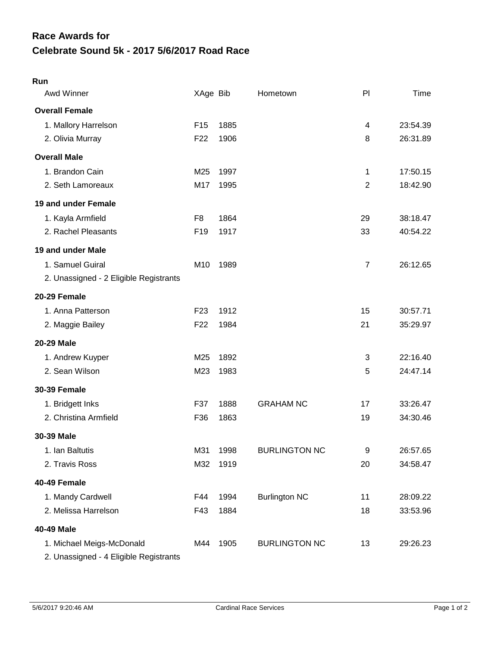## **Celebrate Sound 5k - 2017 5/6/2017 Road Race Race Awards for**

| Awd Winner                             | XAge Bib        |      | Hometown             | P <sub>1</sub> | Time     |
|----------------------------------------|-----------------|------|----------------------|----------------|----------|
| <b>Overall Female</b>                  |                 |      |                      |                |          |
| 1. Mallory Harrelson                   | F <sub>15</sub> | 1885 |                      | 4              | 23:54.39 |
| 2. Olivia Murray                       | F <sub>22</sub> | 1906 |                      | 8              | 26:31.89 |
| <b>Overall Male</b>                    |                 |      |                      |                |          |
| 1. Brandon Cain                        | M25             | 1997 |                      | 1              | 17:50.15 |
| 2. Seth Lamoreaux                      | M17             | 1995 |                      | $\overline{2}$ | 18:42.90 |
| 19 and under Female                    |                 |      |                      |                |          |
| 1. Kayla Armfield                      | F <sub>8</sub>  | 1864 |                      | 29             | 38:18.47 |
| 2. Rachel Pleasants                    | F <sub>19</sub> | 1917 |                      | 33             | 40:54.22 |
| 19 and under Male                      |                 |      |                      |                |          |
| 1. Samuel Guiral                       | M10             | 1989 |                      | $\overline{7}$ | 26:12.65 |
| 2. Unassigned - 2 Eligible Registrants |                 |      |                      |                |          |
| 20-29 Female                           |                 |      |                      |                |          |
| 1. Anna Patterson                      | F <sub>23</sub> | 1912 |                      | 15             | 30:57.71 |
| 2. Maggie Bailey                       | F <sub>22</sub> | 1984 |                      | 21             | 35:29.97 |
| <b>20-29 Male</b>                      |                 |      |                      |                |          |
| 1. Andrew Kuyper                       | M25             | 1892 |                      | 3              | 22:16.40 |
| 2. Sean Wilson                         | M23             | 1983 |                      | 5              | 24:47.14 |
| <b>30-39 Female</b>                    |                 |      |                      |                |          |
| 1. Bridgett Inks                       | F37             | 1888 | <b>GRAHAM NC</b>     | 17             | 33:26.47 |
| 2. Christina Armfield                  | F36             | 1863 |                      | 19             | 34:30.46 |
| 30-39 Male                             |                 |      |                      |                |          |
| 1. Ian Baltutis                        | M31             | 1998 | <b>BURLINGTON NC</b> | 9              | 26:57.65 |
| 2. Travis Ross                         | M32             | 1919 |                      | 20             | 34:58.47 |
| 40-49 Female                           |                 |      |                      |                |          |
| 1. Mandy Cardwell                      | F44             | 1994 | <b>Burlington NC</b> | 11             | 28:09.22 |
| 2. Melissa Harrelson                   | F43             | 1884 |                      | 18             | 33:53.96 |
| 40-49 Male                             |                 |      |                      |                |          |
| 1. Michael Meigs-McDonald              | M44             | 1905 | <b>BURLINGTON NC</b> | 13             | 29:26.23 |
| 2. Unassigned - 4 Eligible Registrants |                 |      |                      |                |          |